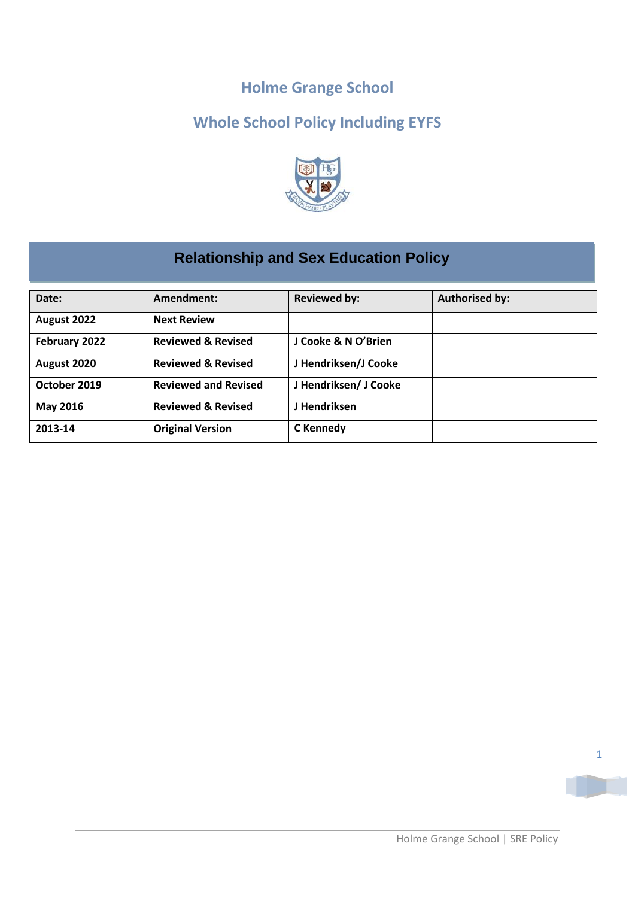# **Holme Grange School**

# **Whole School Policy Including EYFS**



# **Relationship and Sex Education Policy**

| Date:           | Amendment:                    | <b>Reviewed by:</b>   | <b>Authorised by:</b> |
|-----------------|-------------------------------|-----------------------|-----------------------|
| August 2022     | <b>Next Review</b>            |                       |                       |
| February 2022   | <b>Reviewed &amp; Revised</b> | J Cooke & N O'Brien   |                       |
| August 2020     | <b>Reviewed &amp; Revised</b> | J Hendriksen/J Cooke  |                       |
| October 2019    | <b>Reviewed and Revised</b>   | J Hendriksen/ J Cooke |                       |
| <b>May 2016</b> | <b>Reviewed &amp; Revised</b> | J Hendriksen          |                       |
| 2013-14         | <b>Original Version</b>       | C Kennedy             |                       |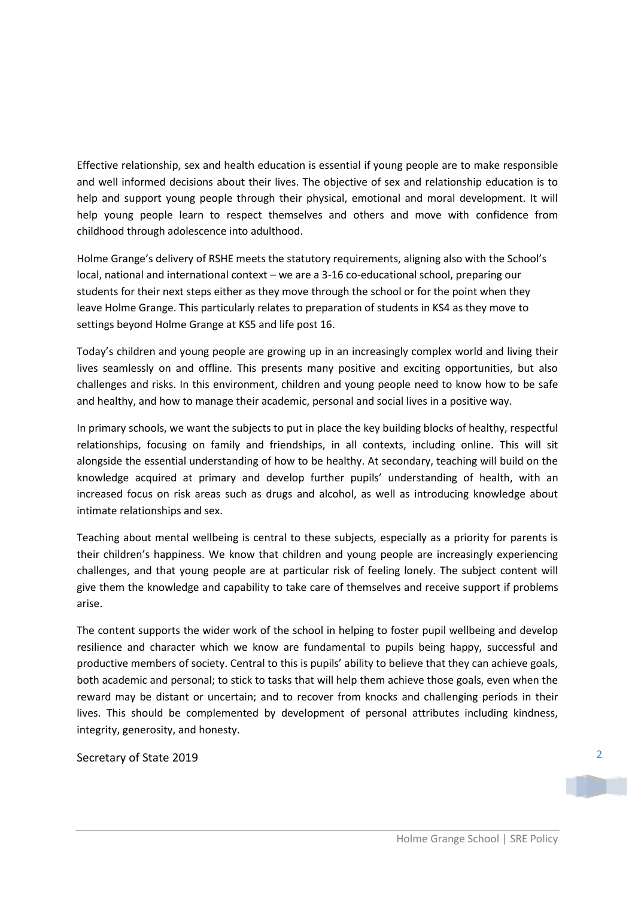Effective relationship, sex and health education is essential if young people are to make responsible and well informed decisions about their lives. The objective of sex and relationship education is to help and support young people through their physical, emotional and moral development. It will help young people learn to respect themselves and others and move with confidence from childhood through adolescence into adulthood.

Holme Grange's delivery of RSHE meets the statutory requirements, aligning also with the School's local, national and international context – we are a 3-16 co-educational school, preparing our students for their next steps either as they move through the school or for the point when they leave Holme Grange. This particularly relates to preparation of students in KS4 as they move to settings beyond Holme Grange at KS5 and life post 16.

Today's children and young people are growing up in an increasingly complex world and living their lives seamlessly on and offline. This presents many positive and exciting opportunities, but also challenges and risks. In this environment, children and young people need to know how to be safe and healthy, and how to manage their academic, personal and social lives in a positive way.

In primary schools, we want the subjects to put in place the key building blocks of healthy, respectful relationships, focusing on family and friendships, in all contexts, including online. This will sit alongside the essential understanding of how to be healthy. At secondary, teaching will build on the knowledge acquired at primary and develop further pupils' understanding of health, with an increased focus on risk areas such as drugs and alcohol, as well as introducing knowledge about intimate relationships and sex.

Teaching about mental wellbeing is central to these subjects, especially as a priority for parents is their children's happiness. We know that children and young people are increasingly experiencing challenges, and that young people are at particular risk of feeling lonely. The subject content will give them the knowledge and capability to take care of themselves and receive support if problems arise.

The content supports the wider work of the school in helping to foster pupil wellbeing and develop resilience and character which we know are fundamental to pupils being happy, successful and productive members of society. Central to this is pupils' ability to believe that they can achieve goals, both academic and personal; to stick to tasks that will help them achieve those goals, even when the reward may be distant or uncertain; and to recover from knocks and challenging periods in their lives. This should be complemented by development of personal attributes including kindness, integrity, generosity, and honesty.

Secretary of State 2019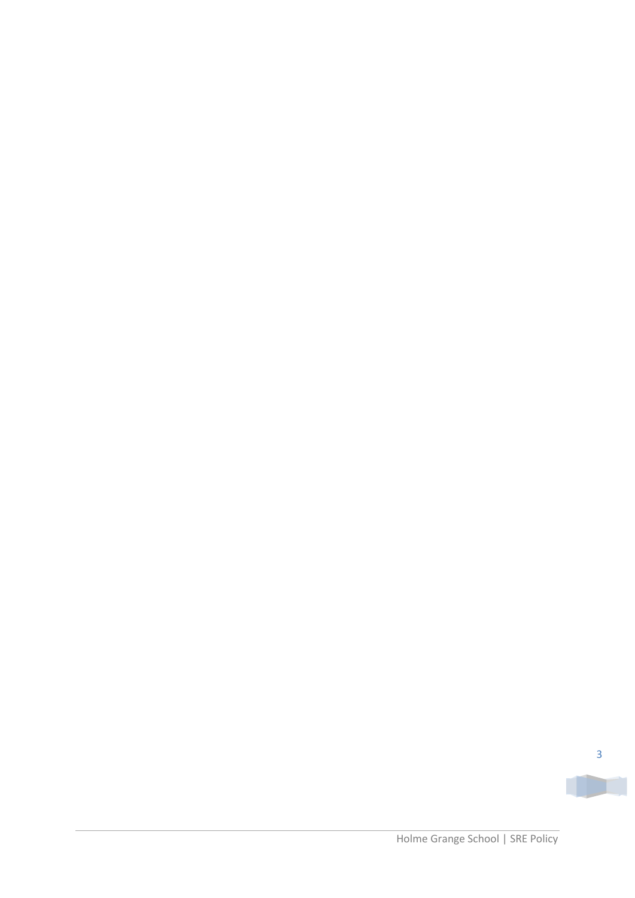

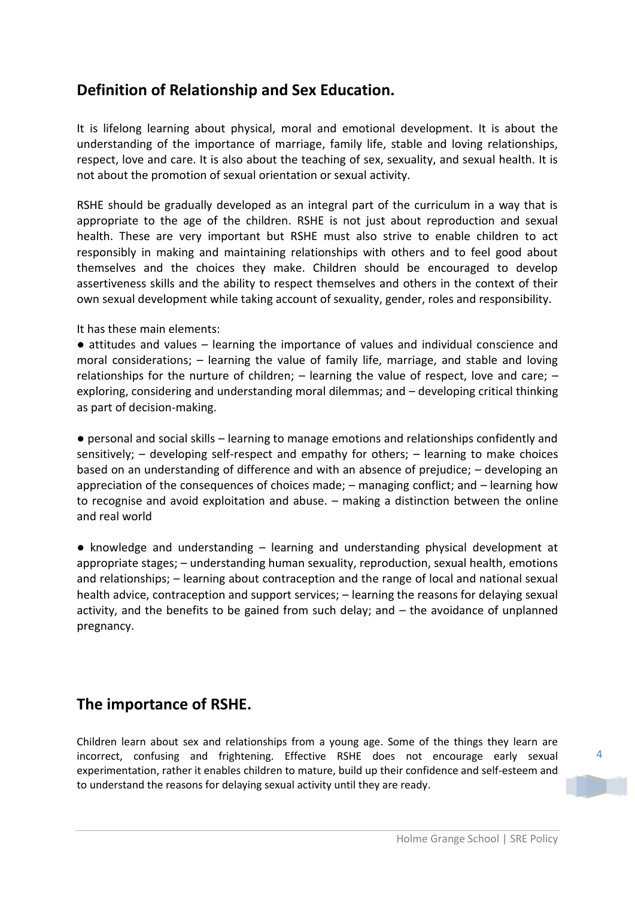## **Definition of Relationship and Sex Education.**

It is lifelong learning about physical, moral and emotional development. It is about the understanding of the importance of marriage, family life, stable and loving relationships, respect, love and care. It is also about the teaching of sex, sexuality, and sexual health. It is not about the promotion of sexual orientation or sexual activity.

RSHE should be gradually developed as an integral part of the curriculum in a way that is appropriate to the age of the children. RSHE is not just about reproduction and sexual health. These are very important but RSHE must also strive to enable children to act responsibly in making and maintaining relationships with others and to feel good about themselves and the choices they make. Children should be encouraged to develop assertiveness skills and the ability to respect themselves and others in the context of their own sexual development while taking account of sexuality, gender, roles and responsibility.

It has these main elements:

● attitudes and values – learning the importance of values and individual conscience and moral considerations; – learning the value of family life, marriage, and stable and loving relationships for the nurture of children;  $-$  learning the value of respect, love and care;  $$ exploring, considering and understanding moral dilemmas; and – developing critical thinking as part of decision-making.

● personal and social skills – learning to manage emotions and relationships confidently and sensitively; – developing self-respect and empathy for others; – learning to make choices based on an understanding of difference and with an absence of prejudice; – developing an appreciation of the consequences of choices made; – managing conflict; and – learning how to recognise and avoid exploitation and abuse. – making a distinction between the online and real world

● knowledge and understanding – learning and understanding physical development at appropriate stages; – understanding human sexuality, reproduction, sexual health, emotions and relationships; – learning about contraception and the range of local and national sexual health advice, contraception and support services; – learning the reasons for delaying sexual activity, and the benefits to be gained from such delay; and – the avoidance of unplanned pregnancy.

## **The importance of RSHE.**

Children learn about sex and relationships from a young age. Some of the things they learn are incorrect, confusing and frightening. Effective RSHE does not encourage early sexual experimentation, rather it enables children to mature, build up their confidence and self-esteem and to understand the reasons for delaying sexual activity until they are ready.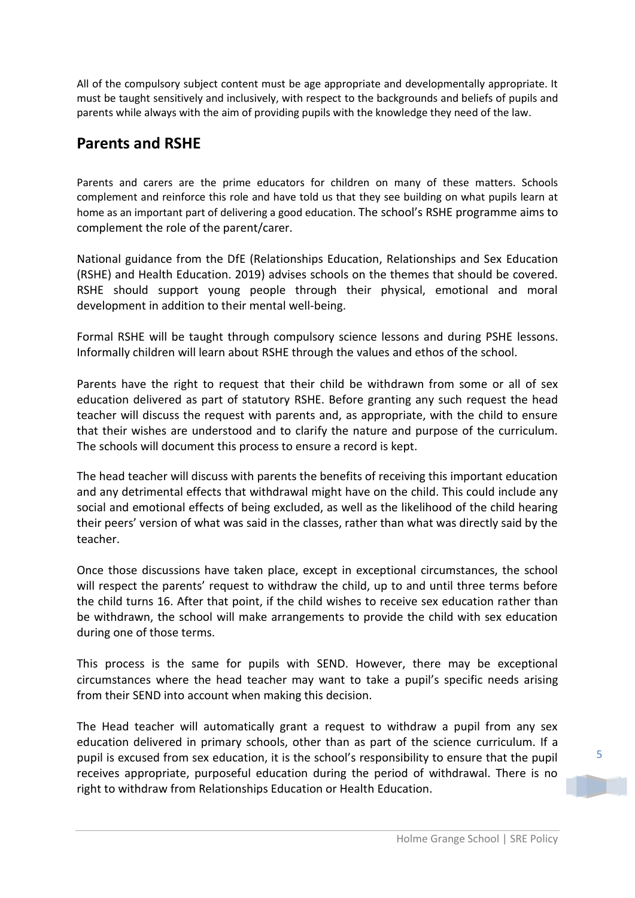All of the compulsory subject content must be age appropriate and developmentally appropriate. It must be taught sensitively and inclusively, with respect to the backgrounds and beliefs of pupils and parents while always with the aim of providing pupils with the knowledge they need of the law.

## **Parents and RSHE**

Parents and carers are the prime educators for children on many of these matters. Schools complement and reinforce this role and have told us that they see building on what pupils learn at home as an important part of delivering a good education. The school's RSHE programme aims to complement the role of the parent/carer.

National guidance from the DfE (Relationships Education, Relationships and Sex Education (RSHE) and Health Education. 2019) advises schools on the themes that should be covered. RSHE should support young people through their physical, emotional and moral development in addition to their mental well-being.

Formal RSHE will be taught through compulsory science lessons and during PSHE lessons. Informally children will learn about RSHE through the values and ethos of the school.

Parents have the right to request that their child be withdrawn from some or all of sex education delivered as part of statutory RSHE. Before granting any such request the head teacher will discuss the request with parents and, as appropriate, with the child to ensure that their wishes are understood and to clarify the nature and purpose of the curriculum. The schools will document this process to ensure a record is kept.

The head teacher will discuss with parents the benefits of receiving this important education and any detrimental effects that withdrawal might have on the child. This could include any social and emotional effects of being excluded, as well as the likelihood of the child hearing their peers' version of what was said in the classes, rather than what was directly said by the teacher.

Once those discussions have taken place, except in exceptional circumstances, the school will respect the parents' request to withdraw the child, up to and until three terms before the child turns 16. After that point, if the child wishes to receive sex education rather than be withdrawn, the school will make arrangements to provide the child with sex education during one of those terms.

This process is the same for pupils with SEND. However, there may be exceptional circumstances where the head teacher may want to take a pupil's specific needs arising from their SEND into account when making this decision.

The Head teacher will automatically grant a request to withdraw a pupil from any sex education delivered in primary schools, other than as part of the science curriculum. If a pupil is excused from sex education, it is the school's responsibility to ensure that the pupil receives appropriate, purposeful education during the period of withdrawal. There is no right to withdraw from Relationships Education or Health Education.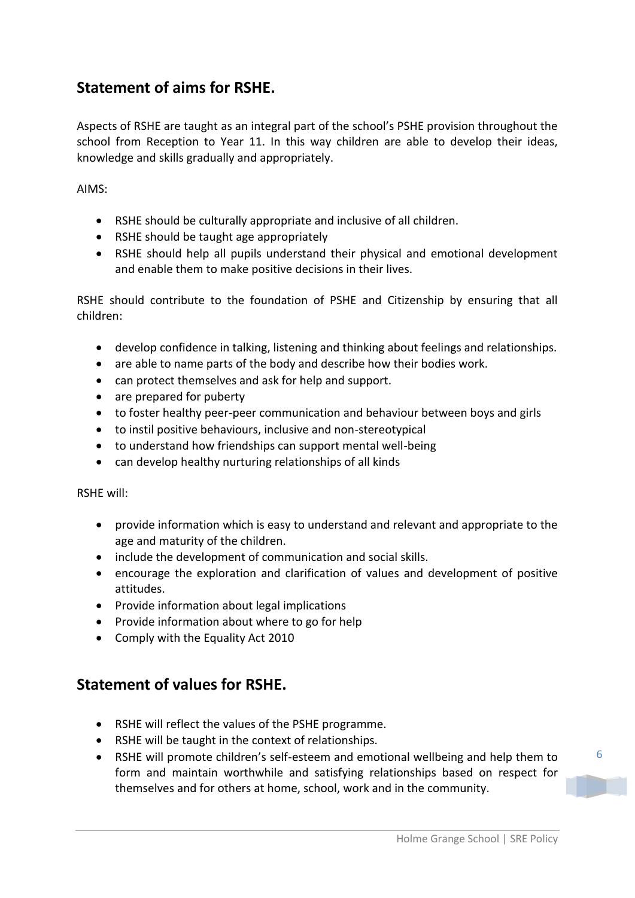## **Statement of aims for RSHE.**

Aspects of RSHE are taught as an integral part of the school's PSHE provision throughout the school from Reception to Year 11. In this way children are able to develop their ideas, knowledge and skills gradually and appropriately.

### AIMS:

- RSHE should be culturally appropriate and inclusive of all children.
- RSHE should be taught age appropriately
- RSHE should help all pupils understand their physical and emotional development and enable them to make positive decisions in their lives.

RSHE should contribute to the foundation of PSHE and Citizenship by ensuring that all children:

- develop confidence in talking, listening and thinking about feelings and relationships.
- are able to name parts of the body and describe how their bodies work.
- can protect themselves and ask for help and support.
- are prepared for puberty
- to foster healthy peer-peer communication and behaviour between boys and girls
- to instil positive behaviours, inclusive and non-stereotypical
- to understand how friendships can support mental well-being
- can develop healthy nurturing relationships of all kinds

RSHE will:

- provide information which is easy to understand and relevant and appropriate to the age and maturity of the children.
- include the development of communication and social skills.
- encourage the exploration and clarification of values and development of positive attitudes.
- Provide information about legal implications
- Provide information about where to go for help
- Comply with the Equality Act 2010

## **Statement of values for RSHE.**

- RSHE will reflect the values of the PSHE programme.
- RSHE will be taught in the context of relationships.
- RSHE will promote children's self-esteem and emotional wellbeing and help them to form and maintain worthwhile and satisfying relationships based on respect for themselves and for others at home, school, work and in the community.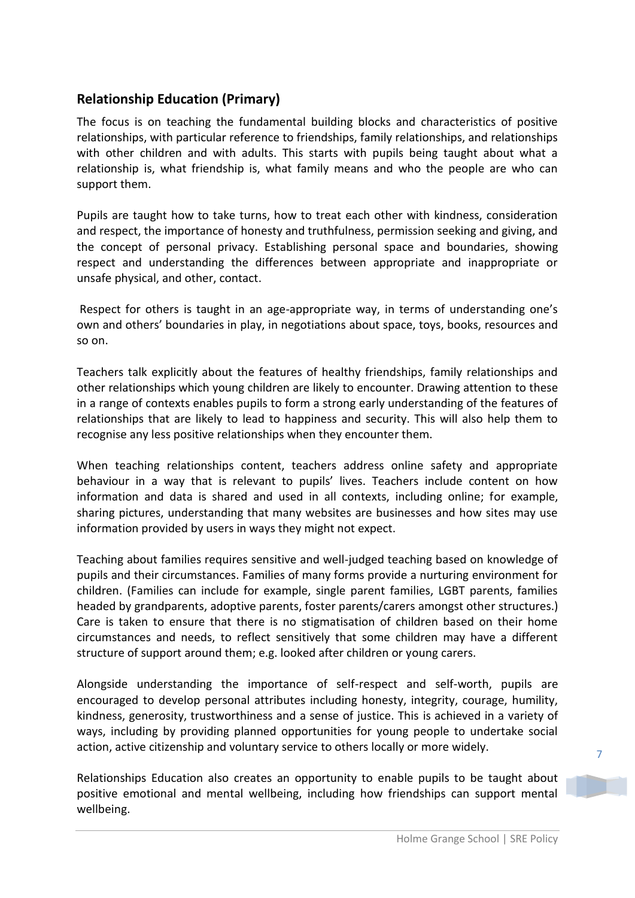## **Relationship Education (Primary)**

The focus is on teaching the fundamental building blocks and characteristics of positive relationships, with particular reference to friendships, family relationships, and relationships with other children and with adults. This starts with pupils being taught about what a relationship is, what friendship is, what family means and who the people are who can support them.

Pupils are taught how to take turns, how to treat each other with kindness, consideration and respect, the importance of honesty and truthfulness, permission seeking and giving, and the concept of personal privacy. Establishing personal space and boundaries, showing respect and understanding the differences between appropriate and inappropriate or unsafe physical, and other, contact.

Respect for others is taught in an age-appropriate way, in terms of understanding one's own and others' boundaries in play, in negotiations about space, toys, books, resources and so on.

Teachers talk explicitly about the features of healthy friendships, family relationships and other relationships which young children are likely to encounter. Drawing attention to these in a range of contexts enables pupils to form a strong early understanding of the features of relationships that are likely to lead to happiness and security. This will also help them to recognise any less positive relationships when they encounter them.

When teaching relationships content, teachers address online safety and appropriate behaviour in a way that is relevant to pupils' lives. Teachers include content on how information and data is shared and used in all contexts, including online; for example, sharing pictures, understanding that many websites are businesses and how sites may use information provided by users in ways they might not expect.

Teaching about families requires sensitive and well-judged teaching based on knowledge of pupils and their circumstances. Families of many forms provide a nurturing environment for children. (Families can include for example, single parent families, LGBT parents, families headed by grandparents, adoptive parents, foster parents/carers amongst other structures.) Care is taken to ensure that there is no stigmatisation of children based on their home circumstances and needs, to reflect sensitively that some children may have a different structure of support around them; e.g. looked after children or young carers.

Alongside understanding the importance of self-respect and self-worth, pupils are encouraged to develop personal attributes including honesty, integrity, courage, humility, kindness, generosity, trustworthiness and a sense of justice. This is achieved in a variety of ways, including by providing planned opportunities for young people to undertake social action, active citizenship and voluntary service to others locally or more widely.

Relationships Education also creates an opportunity to enable pupils to be taught about positive emotional and mental wellbeing, including how friendships can support mental wellbeing.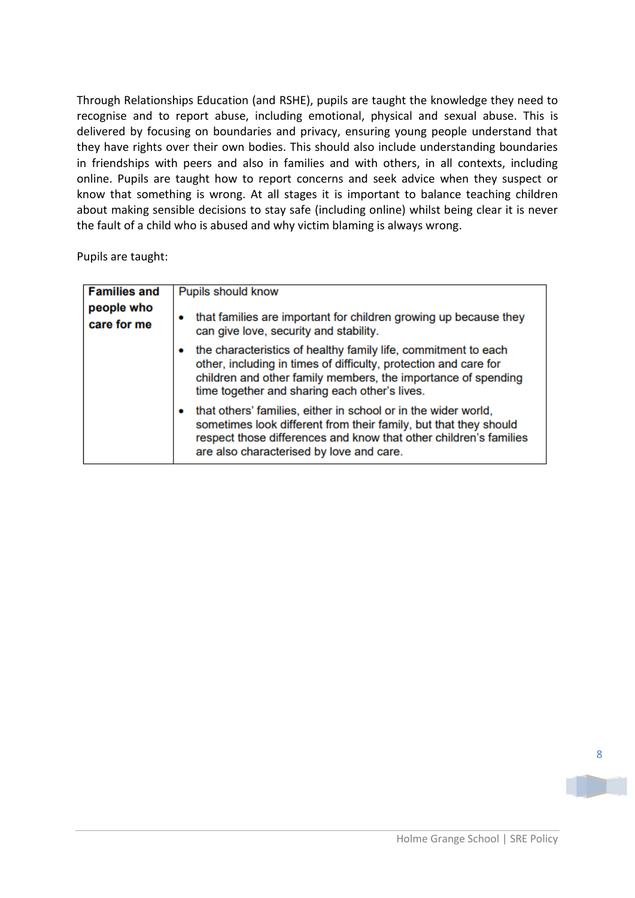Through Relationships Education (and RSHE), pupils are taught the knowledge they need to recognise and to report abuse, including emotional, physical and sexual abuse. This is delivered by focusing on boundaries and privacy, ensuring young people understand that they have rights over their own bodies. This should also include understanding boundaries in friendships with peers and also in families and with others, in all contexts, including online. Pupils are taught how to report concerns and seek advice when they suspect or know that something is wrong. At all stages it is important to balance teaching children about making sensible decisions to stay safe (including online) whilst being clear it is never the fault of a child who is abused and why victim blaming is always wrong.

Pupils are taught:

| <b>Families and</b><br>people who<br>care for me | Pupils should know<br>that families are important for children growing up because they<br>٠<br>can give love, security and stability.                                                                                                                |
|--------------------------------------------------|------------------------------------------------------------------------------------------------------------------------------------------------------------------------------------------------------------------------------------------------------|
|                                                  | the characteristics of healthy family life, commitment to each<br>other, including in times of difficulty, protection and care for<br>children and other family members, the importance of spending<br>time together and sharing each other's lives. |
|                                                  | that others' families, either in school or in the wider world,<br>sometimes look different from their family, but that they should<br>respect those differences and know that other children's families<br>are also characterised by love and care.  |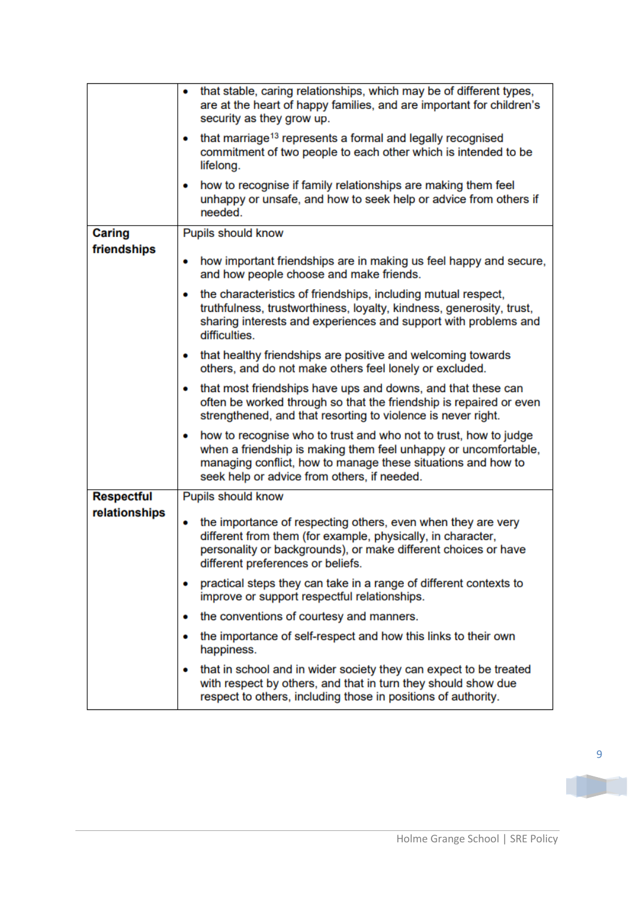|                   | • that stable, caring relationships, which may be of different types,<br>are at the heart of happy families, and are important for children's<br>security as they grow up.                                                                                      |  |  |
|-------------------|-----------------------------------------------------------------------------------------------------------------------------------------------------------------------------------------------------------------------------------------------------------------|--|--|
|                   | that marriage <sup>13</sup> represents a formal and legally recognised<br>$\bullet$<br>commitment of two people to each other which is intended to be<br>lifelong.                                                                                              |  |  |
|                   | how to recognise if family relationships are making them feel<br>$\bullet$<br>unhappy or unsafe, and how to seek help or advice from others if<br>needed.                                                                                                       |  |  |
| <b>Caring</b>     | Pupils should know                                                                                                                                                                                                                                              |  |  |
| friendships       | how important friendships are in making us feel happy and secure,<br>۰<br>and how people choose and make friends.                                                                                                                                               |  |  |
|                   | the characteristics of friendships, including mutual respect,<br>$\bullet$<br>truthfulness, trustworthiness, loyalty, kindness, generosity, trust,<br>sharing interests and experiences and support with problems and<br>difficulties.                          |  |  |
|                   | that healthy friendships are positive and welcoming towards<br>$\bullet$<br>others, and do not make others feel lonely or excluded.                                                                                                                             |  |  |
|                   | • that most friendships have ups and downs, and that these can<br>often be worked through so that the friendship is repaired or even<br>strengthened, and that resorting to violence is never right.                                                            |  |  |
|                   | how to recognise who to trust and who not to trust, how to judge<br>$\bullet$<br>when a friendship is making them feel unhappy or uncomfortable,<br>managing conflict, how to manage these situations and how to<br>seek help or advice from others, if needed. |  |  |
| <b>Respectful</b> | Pupils should know                                                                                                                                                                                                                                              |  |  |
| relationships     | the importance of respecting others, even when they are very<br>۰<br>different from them (for example, physically, in character,<br>personality or backgrounds), or make different choices or have<br>different preferences or beliefs.                         |  |  |
|                   | practical steps they can take in a range of different contexts to<br>٠<br>improve or support respectful relationships.                                                                                                                                          |  |  |
|                   | the conventions of courtesy and manners.                                                                                                                                                                                                                        |  |  |
|                   | the importance of self-respect and how this links to their own<br>٠<br>happiness.                                                                                                                                                                               |  |  |
|                   | that in school and in wider society they can expect to be treated<br>with respect by others, and that in turn they should show due<br>respect to others, including those in positions of authority.                                                             |  |  |

**The Street**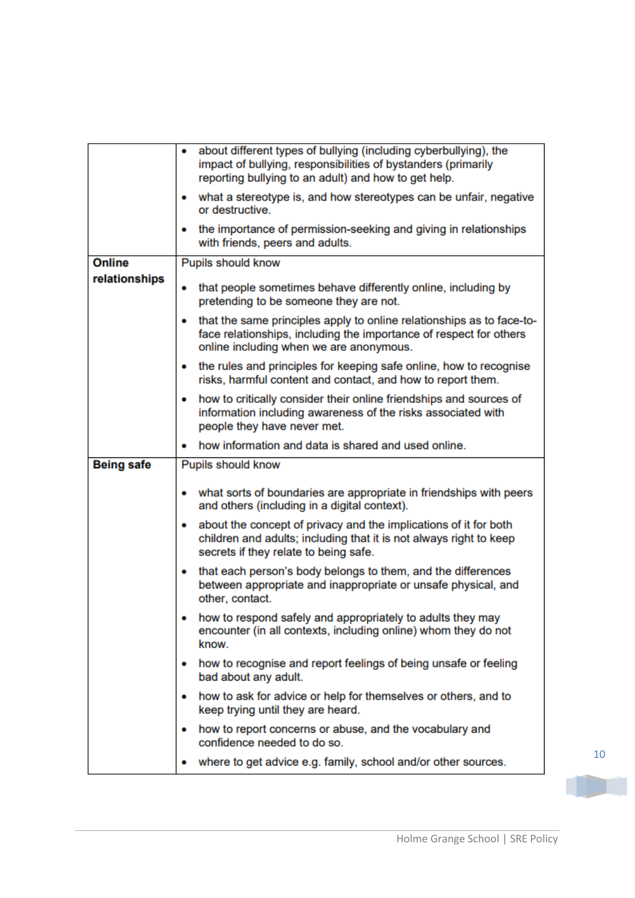|                   | about different types of bullying (including cyberbullying), the<br>impact of bullying, responsibilities of bystanders (primarily<br>reporting bullying to an adult) and how to get help.           |  |  |
|-------------------|-----------------------------------------------------------------------------------------------------------------------------------------------------------------------------------------------------|--|--|
|                   | • what a stereotype is, and how stereotypes can be unfair, negative<br>or destructive.                                                                                                              |  |  |
|                   | • the importance of permission-seeking and giving in relationships<br>with friends, peers and adults.                                                                                               |  |  |
| Online            | Pupils should know                                                                                                                                                                                  |  |  |
| relationships     | that people sometimes behave differently online, including by<br>۰<br>pretending to be someone they are not.                                                                                        |  |  |
|                   | that the same principles apply to online relationships as to face-to-<br>$\bullet$<br>face relationships, including the importance of respect for others<br>online including when we are anonymous. |  |  |
|                   | the rules and principles for keeping safe online, how to recognise<br>٠<br>risks, harmful content and contact, and how to report them.                                                              |  |  |
|                   | how to critically consider their online friendships and sources of<br>$\bullet$<br>information including awareness of the risks associated with<br>people they have never met.                      |  |  |
|                   | how information and data is shared and used online.                                                                                                                                                 |  |  |
| <b>Being safe</b> | Pupils should know                                                                                                                                                                                  |  |  |
|                   | • what sorts of boundaries are appropriate in friendships with peers<br>and others (including in a digital context).                                                                                |  |  |
|                   | about the concept of privacy and the implications of it for both<br>$\bullet$<br>children and adults; including that it is not always right to keep<br>secrets if they relate to being safe.        |  |  |
|                   | that each person's body belongs to them, and the differences<br>٠<br>between appropriate and inappropriate or unsafe physical, and<br>other, contact.                                               |  |  |
|                   | • how to respond safely and appropriately to adults they may<br>encounter (in all contexts, including online) whom they do not<br>know.                                                             |  |  |
|                   | how to recognise and report feelings of being unsafe or feeling<br>٠<br>bad about any adult.                                                                                                        |  |  |
|                   | how to ask for advice or help for themselves or others, and to<br>keep trying until they are heard.                                                                                                 |  |  |
|                   | how to report concerns or abuse, and the vocabulary and<br>confidence needed to do so.                                                                                                              |  |  |
|                   | where to get advice e.g. family, school and/or other sources.                                                                                                                                       |  |  |

10

m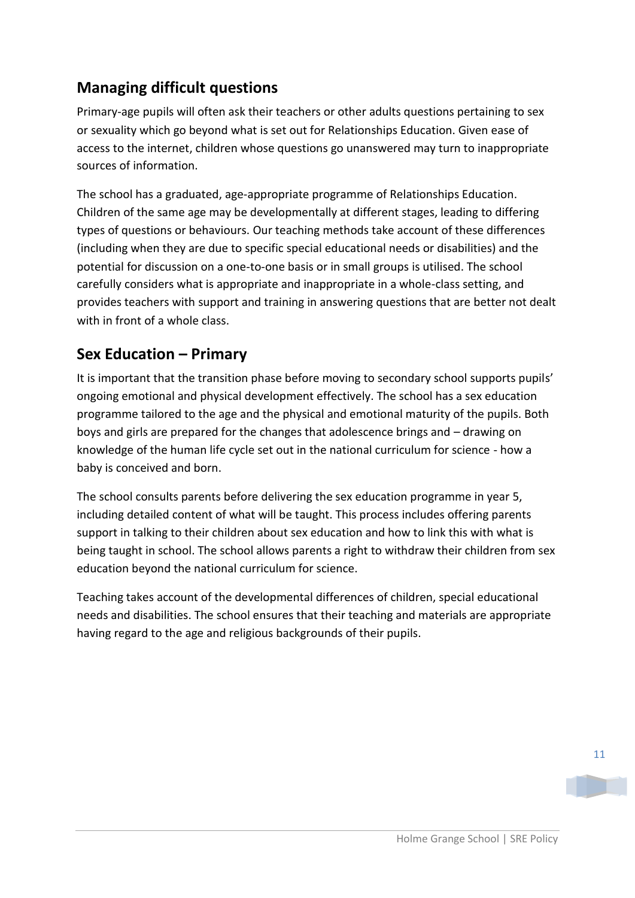# **Managing difficult questions**

Primary-age pupils will often ask their teachers or other adults questions pertaining to sex or sexuality which go beyond what is set out for Relationships Education. Given ease of access to the internet, children whose questions go unanswered may turn to inappropriate sources of information.

The school has a graduated, age-appropriate programme of Relationships Education. Children of the same age may be developmentally at different stages, leading to differing types of questions or behaviours. Our teaching methods take account of these differences (including when they are due to specific special educational needs or disabilities) and the potential for discussion on a one-to-one basis or in small groups is utilised. The school carefully considers what is appropriate and inappropriate in a whole-class setting, and provides teachers with support and training in answering questions that are better not dealt with in front of a whole class.

## **Sex Education – Primary**

It is important that the transition phase before moving to secondary school supports pupils' ongoing emotional and physical development effectively. The school has a sex education programme tailored to the age and the physical and emotional maturity of the pupils. Both boys and girls are prepared for the changes that adolescence brings and – drawing on knowledge of the human life cycle set out in the national curriculum for science - how a baby is conceived and born.

The school consults parents before delivering the sex education programme in year 5, including detailed content of what will be taught. This process includes offering parents support in talking to their children about sex education and how to link this with what is being taught in school. The school allows parents a right to withdraw their children from sex education beyond the national curriculum for science.

Teaching takes account of the developmental differences of children, special educational needs and disabilities. The school ensures that their teaching and materials are appropriate having regard to the age and religious backgrounds of their pupils.

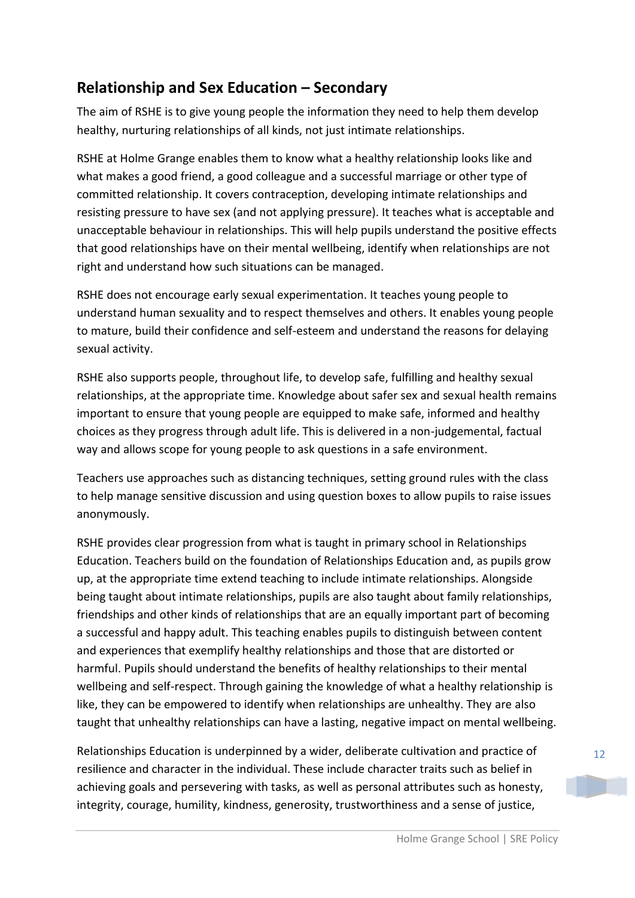# **Relationship and Sex Education – Secondary**

The aim of RSHE is to give young people the information they need to help them develop healthy, nurturing relationships of all kinds, not just intimate relationships.

RSHE at Holme Grange enables them to know what a healthy relationship looks like and what makes a good friend, a good colleague and a successful marriage or other type of committed relationship. It covers contraception, developing intimate relationships and resisting pressure to have sex (and not applying pressure). It teaches what is acceptable and unacceptable behaviour in relationships. This will help pupils understand the positive effects that good relationships have on their mental wellbeing, identify when relationships are not right and understand how such situations can be managed.

RSHE does not encourage early sexual experimentation. It teaches young people to understand human sexuality and to respect themselves and others. It enables young people to mature, build their confidence and self-esteem and understand the reasons for delaying sexual activity.

RSHE also supports people, throughout life, to develop safe, fulfilling and healthy sexual relationships, at the appropriate time. Knowledge about safer sex and sexual health remains important to ensure that young people are equipped to make safe, informed and healthy choices as they progress through adult life. This is delivered in a non-judgemental, factual way and allows scope for young people to ask questions in a safe environment.

Teachers use approaches such as distancing techniques, setting ground rules with the class to help manage sensitive discussion and using question boxes to allow pupils to raise issues anonymously.

RSHE provides clear progression from what is taught in primary school in Relationships Education. Teachers build on the foundation of Relationships Education and, as pupils grow up, at the appropriate time extend teaching to include intimate relationships. Alongside being taught about intimate relationships, pupils are also taught about family relationships, friendships and other kinds of relationships that are an equally important part of becoming a successful and happy adult. This teaching enables pupils to distinguish between content and experiences that exemplify healthy relationships and those that are distorted or harmful. Pupils should understand the benefits of healthy relationships to their mental wellbeing and self-respect. Through gaining the knowledge of what a healthy relationship is like, they can be empowered to identify when relationships are unhealthy. They are also taught that unhealthy relationships can have a lasting, negative impact on mental wellbeing.

Relationships Education is underpinned by a wider, deliberate cultivation and practice of resilience and character in the individual. These include character traits such as belief in achieving goals and persevering with tasks, as well as personal attributes such as honesty, integrity, courage, humility, kindness, generosity, trustworthiness and a sense of justice,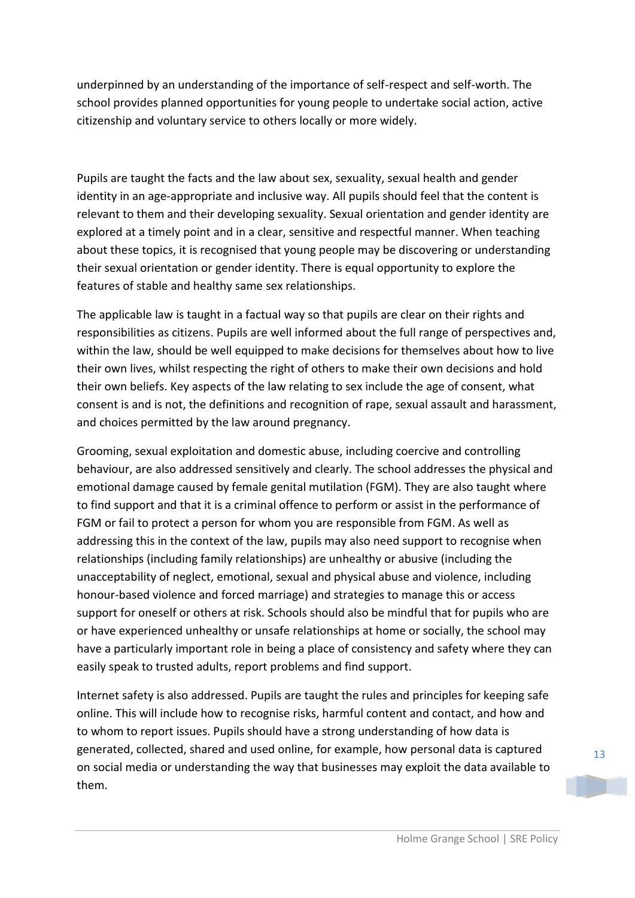underpinned by an understanding of the importance of self-respect and self-worth. The school provides planned opportunities for young people to undertake social action, active citizenship and voluntary service to others locally or more widely.

Pupils are taught the facts and the law about sex, sexuality, sexual health and gender identity in an age-appropriate and inclusive way. All pupils should feel that the content is relevant to them and their developing sexuality. Sexual orientation and gender identity are explored at a timely point and in a clear, sensitive and respectful manner. When teaching about these topics, it is recognised that young people may be discovering or understanding their sexual orientation or gender identity. There is equal opportunity to explore the features of stable and healthy same sex relationships.

The applicable law is taught in a factual way so that pupils are clear on their rights and responsibilities as citizens. Pupils are well informed about the full range of perspectives and, within the law, should be well equipped to make decisions for themselves about how to live their own lives, whilst respecting the right of others to make their own decisions and hold their own beliefs. Key aspects of the law relating to sex include the age of consent, what consent is and is not, the definitions and recognition of rape, sexual assault and harassment, and choices permitted by the law around pregnancy.

Grooming, sexual exploitation and domestic abuse, including coercive and controlling behaviour, are also addressed sensitively and clearly. The school addresses the physical and emotional damage caused by female genital mutilation (FGM). They are also taught where to find support and that it is a criminal offence to perform or assist in the performance of FGM or fail to protect a person for whom you are responsible from FGM. As well as addressing this in the context of the law, pupils may also need support to recognise when relationships (including family relationships) are unhealthy or abusive (including the unacceptability of neglect, emotional, sexual and physical abuse and violence, including honour-based violence and forced marriage) and strategies to manage this or access support for oneself or others at risk. Schools should also be mindful that for pupils who are or have experienced unhealthy or unsafe relationships at home or socially, the school may have a particularly important role in being a place of consistency and safety where they can easily speak to trusted adults, report problems and find support.

Internet safety is also addressed. Pupils are taught the rules and principles for keeping safe online. This will include how to recognise risks, harmful content and contact, and how and to whom to report issues. Pupils should have a strong understanding of how data is generated, collected, shared and used online, for example, how personal data is captured on social media or understanding the way that businesses may exploit the data available to them.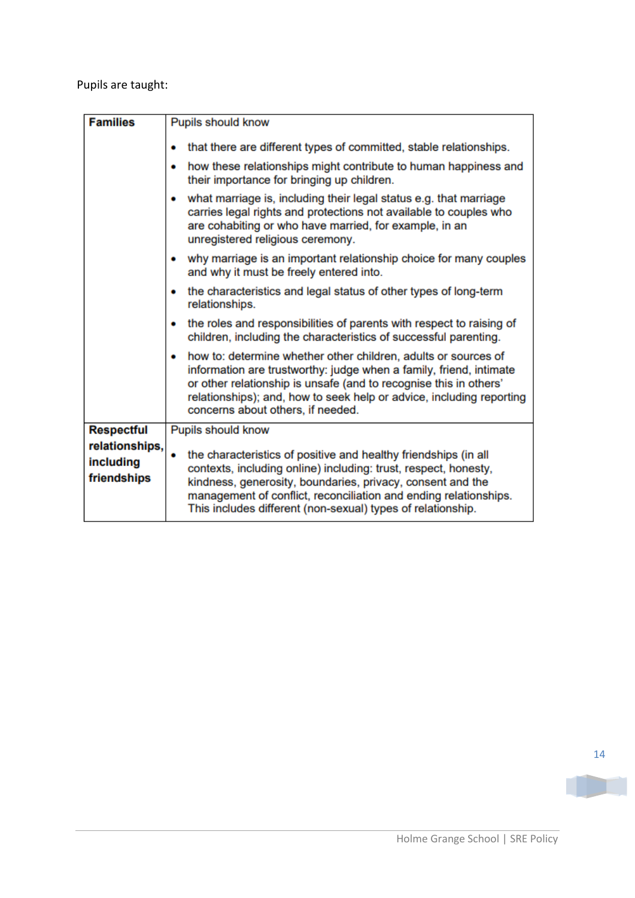Pupils are taught:

| <b>Families</b>                            | Pupils should know                                                                                                                                                                                                                                                                                                                       |  |  |  |  |
|--------------------------------------------|------------------------------------------------------------------------------------------------------------------------------------------------------------------------------------------------------------------------------------------------------------------------------------------------------------------------------------------|--|--|--|--|
|                                            | that there are different types of committed, stable relationships.<br>how these relationships might contribute to human happiness and<br>their importance for bringing up children.                                                                                                                                                      |  |  |  |  |
|                                            |                                                                                                                                                                                                                                                                                                                                          |  |  |  |  |
|                                            | what marriage is, including their legal status e.g. that marriage<br>carries legal rights and protections not available to couples who<br>are cohabiting or who have married, for example, in an<br>unregistered religious ceremony.                                                                                                     |  |  |  |  |
|                                            | why marriage is an important relationship choice for many couples<br>and why it must be freely entered into.                                                                                                                                                                                                                             |  |  |  |  |
|                                            | the characteristics and legal status of other types of long-term<br>relationships.                                                                                                                                                                                                                                                       |  |  |  |  |
|                                            | the roles and responsibilities of parents with respect to raising of<br>children, including the characteristics of successful parenting.                                                                                                                                                                                                 |  |  |  |  |
|                                            | how to: determine whether other children, adults or sources of<br>information are trustworthy: judge when a family, friend, intimate<br>or other relationship is unsafe (and to recognise this in others'<br>relationships); and, how to seek help or advice, including reporting<br>concerns about others, if needed.                   |  |  |  |  |
| <b>Respectful</b>                          | Pupils should know                                                                                                                                                                                                                                                                                                                       |  |  |  |  |
| relationships,<br>including<br>friendships | the characteristics of positive and healthy friendships (in all<br>۰<br>contexts, including online) including: trust, respect, honesty,<br>kindness, generosity, boundaries, privacy, consent and the<br>management of conflict, reconciliation and ending relationships.<br>This includes different (non-sexual) types of relationship. |  |  |  |  |

**The Second Second**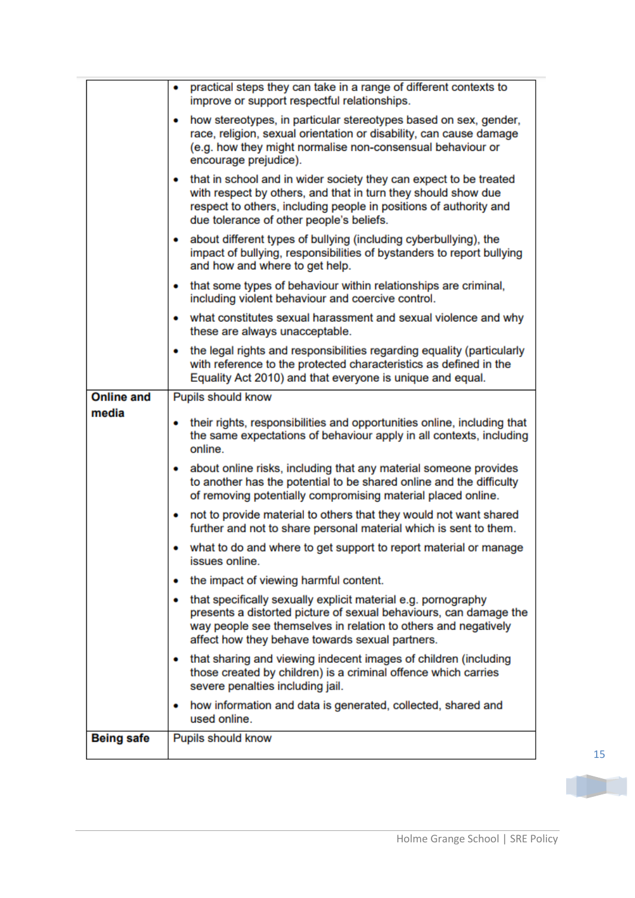|                   | practical steps they can take in a range of different contexts to<br>improve or support respectful relationships.                                                                                                                                                                                                                                                                                                                                                                    |  |  |
|-------------------|--------------------------------------------------------------------------------------------------------------------------------------------------------------------------------------------------------------------------------------------------------------------------------------------------------------------------------------------------------------------------------------------------------------------------------------------------------------------------------------|--|--|
|                   | how stereotypes, in particular stereotypes based on sex, gender,<br>race, religion, sexual orientation or disability, can cause damage<br>(e.g. how they might normalise non-consensual behaviour or<br>encourage prejudice).<br>that in school and in wider society they can expect to be treated<br>with respect by others, and that in turn they should show due<br>respect to others, including people in positions of authority and<br>due tolerance of other people's beliefs. |  |  |
|                   |                                                                                                                                                                                                                                                                                                                                                                                                                                                                                      |  |  |
|                   | about different types of bullying (including cyberbullying), the<br>impact of bullying, responsibilities of bystanders to report bullying<br>and how and where to get help.                                                                                                                                                                                                                                                                                                          |  |  |
|                   | • that some types of behaviour within relationships are criminal,<br>including violent behaviour and coercive control.                                                                                                                                                                                                                                                                                                                                                               |  |  |
|                   | what constitutes sexual harassment and sexual violence and why<br>these are always unacceptable.                                                                                                                                                                                                                                                                                                                                                                                     |  |  |
|                   | the legal rights and responsibilities regarding equality (particularly<br>with reference to the protected characteristics as defined in the<br>Equality Act 2010) and that everyone is unique and equal.                                                                                                                                                                                                                                                                             |  |  |
| <b>Online and</b> | Pupils should know                                                                                                                                                                                                                                                                                                                                                                                                                                                                   |  |  |
| media             | their rights, responsibilities and opportunities online, including that<br>the same expectations of behaviour apply in all contexts, including<br>online.                                                                                                                                                                                                                                                                                                                            |  |  |
|                   | about online risks, including that any material someone provides<br>to another has the potential to be shared online and the difficulty<br>of removing potentially compromising material placed online.                                                                                                                                                                                                                                                                              |  |  |
|                   | not to provide material to others that they would not want shared<br>$\bullet$<br>further and not to share personal material which is sent to them.                                                                                                                                                                                                                                                                                                                                  |  |  |
|                   | what to do and where to get support to report material or manage<br>issues online.                                                                                                                                                                                                                                                                                                                                                                                                   |  |  |
|                   | the impact of viewing harmful content.                                                                                                                                                                                                                                                                                                                                                                                                                                               |  |  |
|                   | that specifically sexually explicit material e.g. pornography<br>presents a distorted picture of sexual behaviours, can damage the<br>way people see themselves in relation to others and negatively<br>affect how they behave towards sexual partners.                                                                                                                                                                                                                              |  |  |
|                   | that sharing and viewing indecent images of children (including<br>those created by children) is a criminal offence which carries<br>severe penalties including jail.                                                                                                                                                                                                                                                                                                                |  |  |
|                   | how information and data is generated, collected, shared and<br>used online.                                                                                                                                                                                                                                                                                                                                                                                                         |  |  |
| <b>Being safe</b> | Pupils should know                                                                                                                                                                                                                                                                                                                                                                                                                                                                   |  |  |

15

**The Second Second**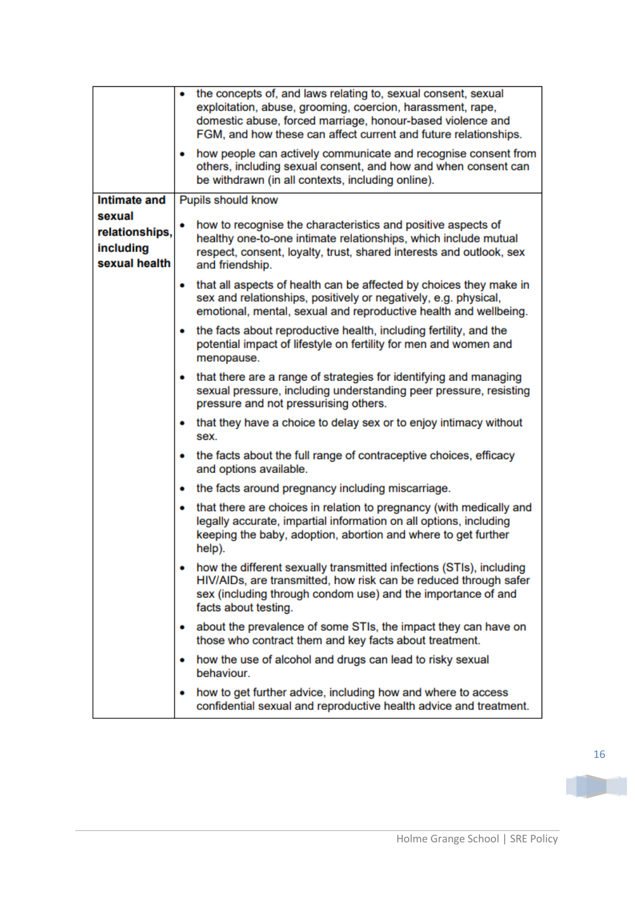|                                                        | the concepts of, and laws relating to, sexual consent, sexual<br>exploitation, abuse, grooming, coercion, harassment, rape,<br>domestic abuse, forced marriage, honour-based violence and<br>FGM, and how these can affect current and future relationships.<br>how people can actively communicate and recognise consent from<br>others, including sexual consent, and how and when consent can |  |
|--------------------------------------------------------|--------------------------------------------------------------------------------------------------------------------------------------------------------------------------------------------------------------------------------------------------------------------------------------------------------------------------------------------------------------------------------------------------|--|
|                                                        | be withdrawn (in all contexts, including online).                                                                                                                                                                                                                                                                                                                                                |  |
| <b>Intimate and</b>                                    | Pupils should know                                                                                                                                                                                                                                                                                                                                                                               |  |
| sexual<br>relationships,<br>including<br>sexual health | how to recognise the characteristics and positive aspects of<br>healthy one-to-one intimate relationships, which include mutual<br>respect, consent, loyalty, trust, shared interests and outlook, sex<br>and friendship.                                                                                                                                                                        |  |
|                                                        | that all aspects of health can be affected by choices they make in<br>sex and relationships, positively or negatively, e.g. physical,<br>emotional, mental, sexual and reproductive health and wellbeing.                                                                                                                                                                                        |  |
|                                                        | the facts about reproductive health, including fertility, and the<br>potential impact of lifestyle on fertility for men and women and<br>menopause.                                                                                                                                                                                                                                              |  |
|                                                        | that there are a range of strategies for identifying and managing<br>sexual pressure, including understanding peer pressure, resisting<br>pressure and not pressurising others.                                                                                                                                                                                                                  |  |
|                                                        | that they have a choice to delay sex or to enjoy intimacy without<br>sex.                                                                                                                                                                                                                                                                                                                        |  |
|                                                        | • the facts about the full range of contraceptive choices, efficacy<br>and options available.                                                                                                                                                                                                                                                                                                    |  |
|                                                        | the facts around pregnancy including miscarriage.                                                                                                                                                                                                                                                                                                                                                |  |
|                                                        | that there are choices in relation to pregnancy (with medically and<br>legally accurate, impartial information on all options, including<br>keeping the baby, adoption, abortion and where to get further<br>help).                                                                                                                                                                              |  |
|                                                        | how the different sexually transmitted infections (STIs), including<br>HIV/AIDs, are transmitted, how risk can be reduced through safer<br>sex (including through condom use) and the importance of and<br>facts about testing.                                                                                                                                                                  |  |
|                                                        | about the prevalence of some STIs, the impact they can have on<br>those who contract them and key facts about treatment.                                                                                                                                                                                                                                                                         |  |
|                                                        | how the use of alcohol and drugs can lead to risky sexual<br>behaviour.                                                                                                                                                                                                                                                                                                                          |  |
|                                                        | how to get further advice, including how and where to access<br>confidential sexual and reproductive health advice and treatment.                                                                                                                                                                                                                                                                |  |



**The Second Second**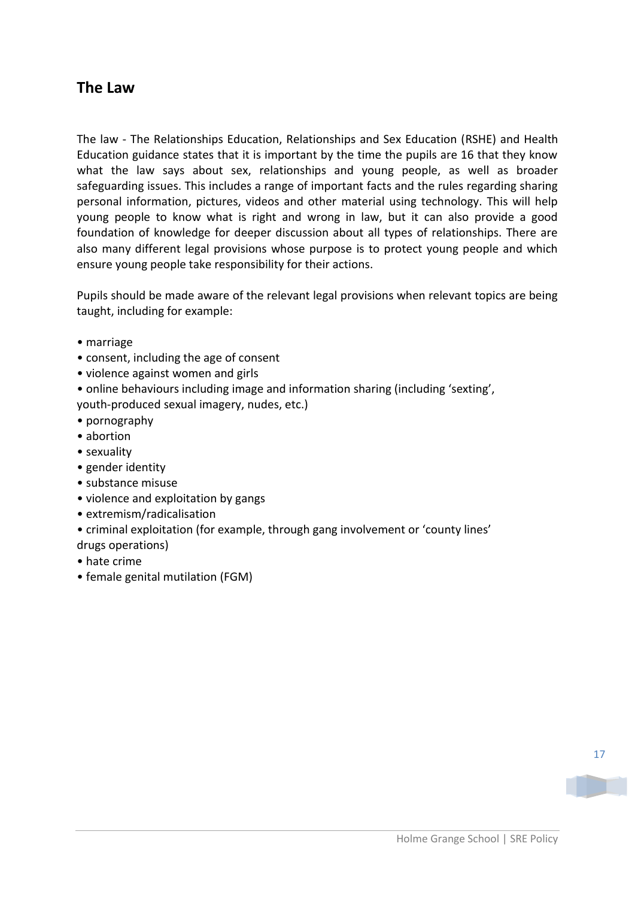## **The Law**

The law - The Relationships Education, Relationships and Sex Education (RSHE) and Health Education guidance states that it is important by the time the pupils are 16 that they know what the law says about sex, relationships and young people, as well as broader safeguarding issues. This includes a range of important facts and the rules regarding sharing personal information, pictures, videos and other material using technology. This will help young people to know what is right and wrong in law, but it can also provide a good foundation of knowledge for deeper discussion about all types of relationships. There are also many different legal provisions whose purpose is to protect young people and which ensure young people take responsibility for their actions.

Pupils should be made aware of the relevant legal provisions when relevant topics are being taught, including for example:

- marriage
- consent, including the age of consent
- violence against women and girls
- online behaviours including image and information sharing (including 'sexting', youth-produced sexual imagery, nudes, etc.)
- pornography
- abortion
- sexuality
- gender identity
- substance misuse
- violence and exploitation by gangs
- extremism/radicalisation
- criminal exploitation (for example, through gang involvement or 'county lines' drugs operations)
- hate crime
- female genital mutilation (FGM)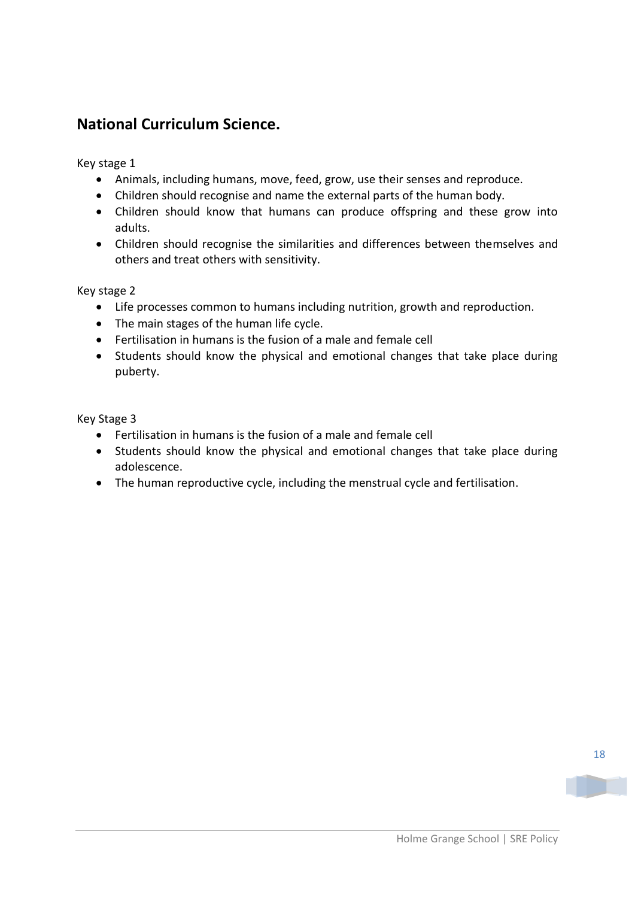# **National Curriculum Science.**

Key stage 1

- Animals, including humans, move, feed, grow, use their senses and reproduce.
- Children should recognise and name the external parts of the human body.
- Children should know that humans can produce offspring and these grow into adults.
- Children should recognise the similarities and differences between themselves and others and treat others with sensitivity.

Key stage 2

- Life processes common to humans including nutrition, growth and reproduction.
- The main stages of the human life cycle.
- Fertilisation in humans is the fusion of a male and female cell
- Students should know the physical and emotional changes that take place during puberty.

Key Stage 3

- Fertilisation in humans is the fusion of a male and female cell
- Students should know the physical and emotional changes that take place during adolescence.
- The human reproductive cycle, including the menstrual cycle and fertilisation.

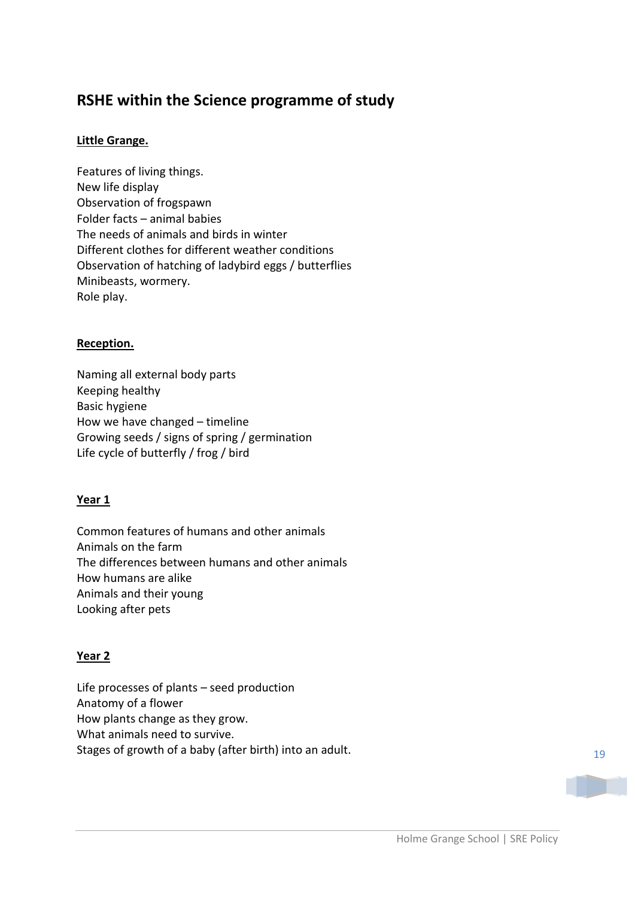## **RSHE within the Science programme of study**

### **Little Grange.**

Features of living things. New life display Observation of frogspawn Folder facts – animal babies The needs of animals and birds in winter Different clothes for different weather conditions Observation of hatching of ladybird eggs / butterflies Minibeasts, wormery. Role play.

#### **Reception.**

Naming all external body parts Keeping healthy Basic hygiene How we have changed – timeline Growing seeds / signs of spring / germination Life cycle of butterfly / frog / bird

### **Year 1**

Common features of humans and other animals Animals on the farm The differences between humans and other animals How humans are alike Animals and their young Looking after pets

### **Year 2**

Life processes of plants – seed production Anatomy of a flower How plants change as they grow. What animals need to survive. Stages of growth of a baby (after birth) into an adult.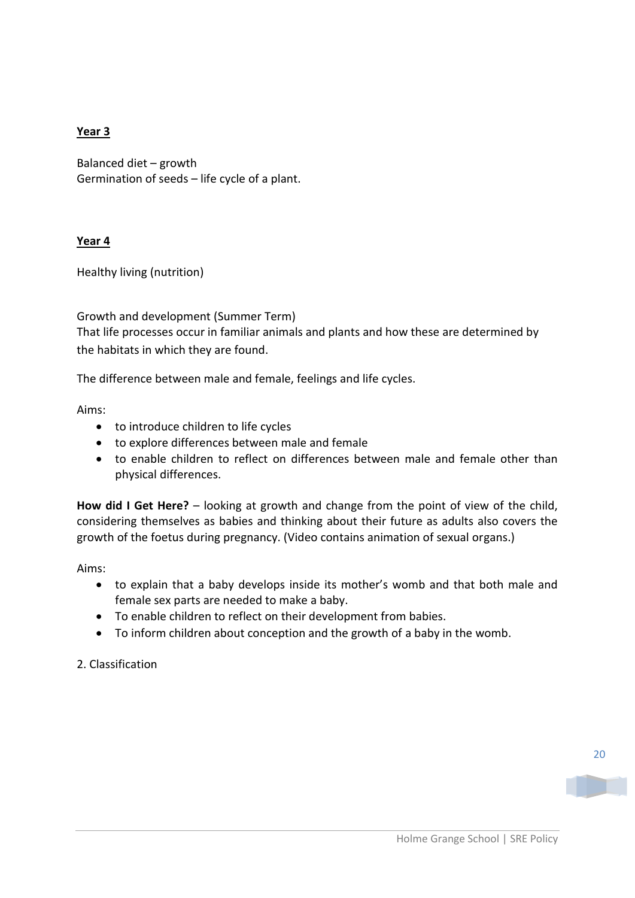### **Year 3**

Balanced diet – growth Germination of seeds – life cycle of a plant.

#### **Year 4**

Healthy living (nutrition)

Growth and development (Summer Term) That life processes occur in familiar animals and plants and how these are determined by the habitats in which they are found.

The difference between male and female, feelings and life cycles.

Aims:

- to introduce children to life cycles
- to explore differences between male and female
- to enable children to reflect on differences between male and female other than physical differences.

**How did I Get Here?** – looking at growth and change from the point of view of the child, considering themselves as babies and thinking about their future as adults also covers the growth of the foetus during pregnancy. (Video contains animation of sexual organs.)

Aims:

- to explain that a baby develops inside its mother's womb and that both male and female sex parts are needed to make a baby.
- To enable children to reflect on their development from babies.
- To inform children about conception and the growth of a baby in the womb.

2. Classification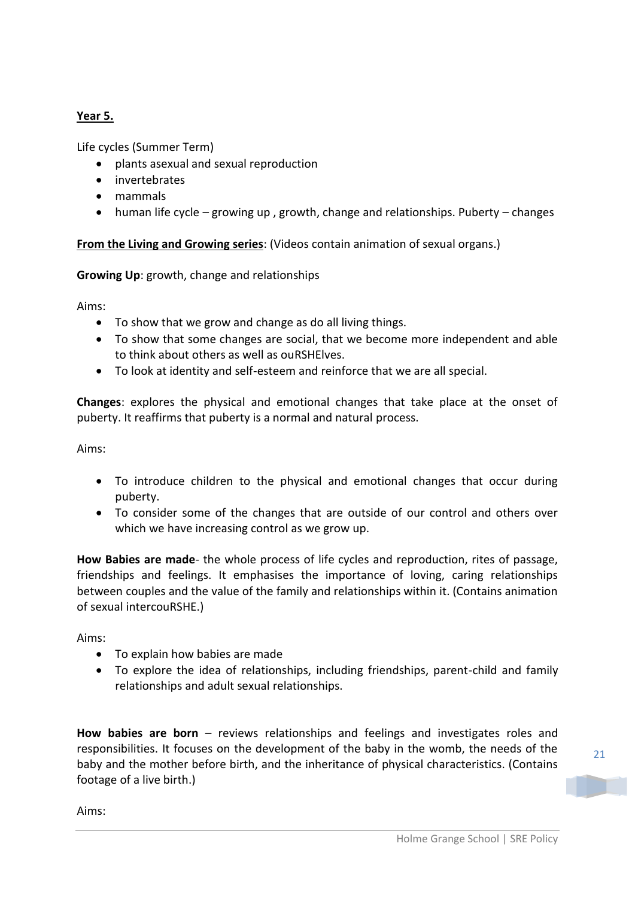## **Year 5.**

Life cycles (Summer Term)

- plants asexual and sexual reproduction
- invertebrates
- mammals
- human life cycle growing up , growth, change and relationships. Puberty changes

**From the Living and Growing series**: (Videos contain animation of sexual organs.)

**Growing Up**: growth, change and relationships

Aims:

- To show that we grow and change as do all living things.
- To show that some changes are social, that we become more independent and able to think about others as well as ouRSHElves.
- To look at identity and self-esteem and reinforce that we are all special.

**Changes**: explores the physical and emotional changes that take place at the onset of puberty. It reaffirms that puberty is a normal and natural process.

Aims:

- To introduce children to the physical and emotional changes that occur during puberty.
- To consider some of the changes that are outside of our control and others over which we have increasing control as we grow up.

**How Babies are made**- the whole process of life cycles and reproduction, rites of passage, friendships and feelings. It emphasises the importance of loving, caring relationships between couples and the value of the family and relationships within it. (Contains animation of sexual intercouRSHE.)

Aims:

- To explain how babies are made
- To explore the idea of relationships, including friendships, parent-child and family relationships and adult sexual relationships.

**How babies are born** – reviews relationships and feelings and investigates roles and responsibilities. It focuses on the development of the baby in the womb, the needs of the baby and the mother before birth, and the inheritance of physical characteristics. (Contains footage of a live birth.)

21

Aims: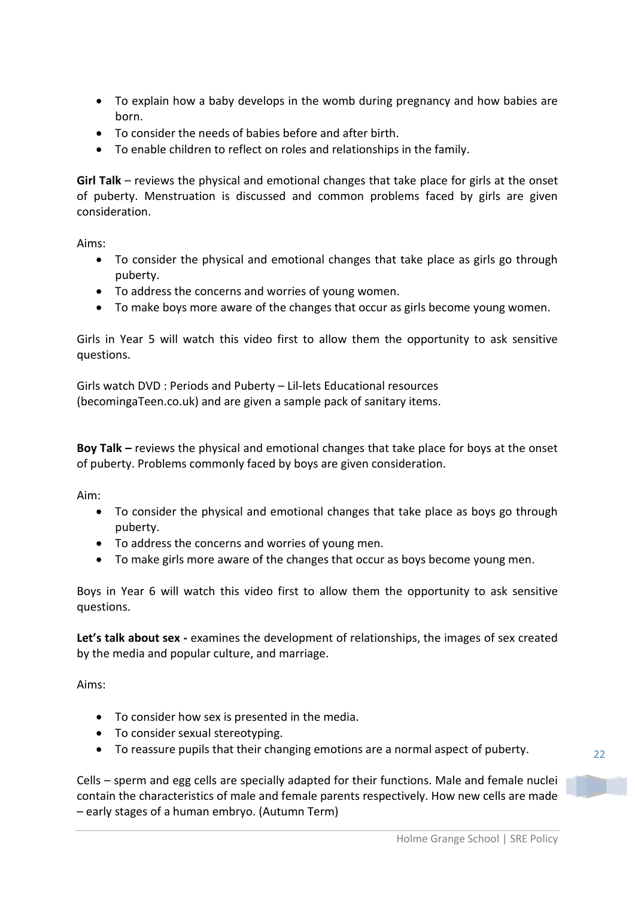- To explain how a baby develops in the womb during pregnancy and how babies are born.
- To consider the needs of babies before and after birth.
- To enable children to reflect on roles and relationships in the family.

**Girl Talk** – reviews the physical and emotional changes that take place for girls at the onset of puberty. Menstruation is discussed and common problems faced by girls are given consideration.

Aims:

- To consider the physical and emotional changes that take place as girls go through puberty.
- To address the concerns and worries of young women.
- To make boys more aware of the changes that occur as girls become young women.

Girls in Year 5 will watch this video first to allow them the opportunity to ask sensitive questions.

Girls watch DVD : Periods and Puberty – Lil-lets Educational resources (becomingaTeen.co.uk) and are given a sample pack of sanitary items.

**Boy Talk –** reviews the physical and emotional changes that take place for boys at the onset of puberty. Problems commonly faced by boys are given consideration.

Aim:

- To consider the physical and emotional changes that take place as boys go through puberty.
- To address the concerns and worries of young men.
- To make girls more aware of the changes that occur as boys become young men.

Boys in Year 6 will watch this video first to allow them the opportunity to ask sensitive questions.

**Let's talk about sex -** examines the development of relationships, the images of sex created by the media and popular culture, and marriage.

Aims:

- To consider how sex is presented in the media.
- To consider sexual stereotyping.
- To reassure pupils that their changing emotions are a normal aspect of puberty.

Cells – sperm and egg cells are specially adapted for their functions. Male and female nuclei contain the characteristics of male and female parents respectively. How new cells are made – early stages of a human embryo. (Autumn Term)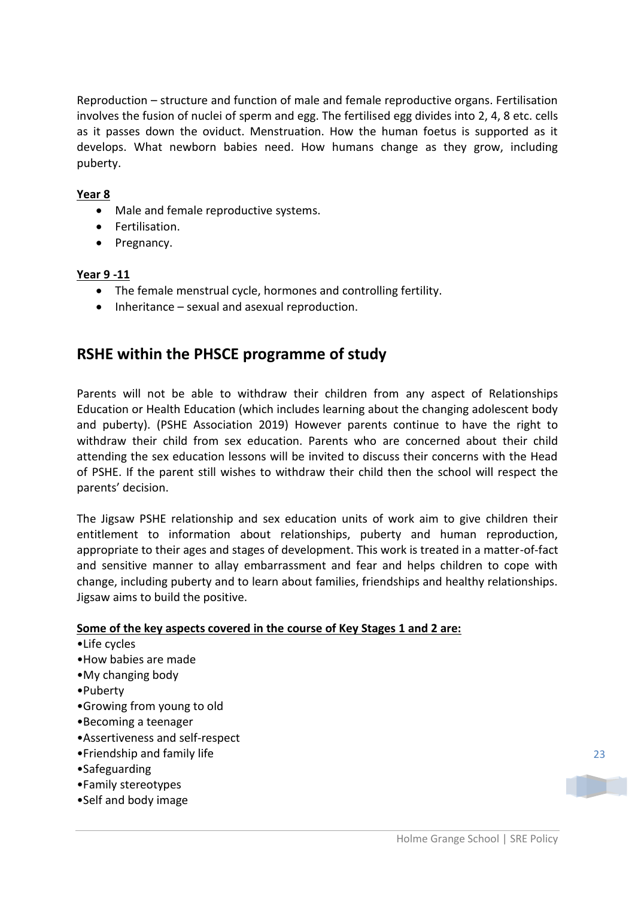Reproduction – structure and function of male and female reproductive organs. Fertilisation involves the fusion of nuclei of sperm and egg. The fertilised egg divides into 2, 4, 8 etc. cells as it passes down the oviduct. Menstruation. How the human foetus is supported as it develops. What newborn babies need. How humans change as they grow, including puberty.

### **Year 8**

- Male and female reproductive systems.
- Fertilisation.
- Pregnancy.

### **Year 9 -11**

- The female menstrual cycle, hormones and controlling fertility.
- Inheritance sexual and asexual reproduction.

## **RSHE within the PHSCE programme of study**

Parents will not be able to withdraw their children from any aspect of Relationships Education or Health Education (which includes learning about the changing adolescent body and puberty). (PSHE Association 2019) However parents continue to have the right to withdraw their child from sex education. Parents who are concerned about their child attending the sex education lessons will be invited to discuss their concerns with the Head of PSHE. If the parent still wishes to withdraw their child then the school will respect the parents' decision.

The Jigsaw PSHE relationship and sex education units of work aim to give children their entitlement to information about relationships, puberty and human reproduction, appropriate to their ages and stages of development. This work is treated in a matter-of-fact and sensitive manner to allay embarrassment and fear and helps children to cope with change, including puberty and to learn about families, friendships and healthy relationships. Jigsaw aims to build the positive.

#### **Some of the key aspects covered in the course of Key Stages 1 and 2 are:**

#### •Life cycles

- •How babies are made
- •My changing body
- •Puberty
- •Growing from young to old
- •Becoming a teenager
- •Assertiveness and self-respect
- •Friendship and family life
- •Safeguarding
- •Family stereotypes
- •Self and body image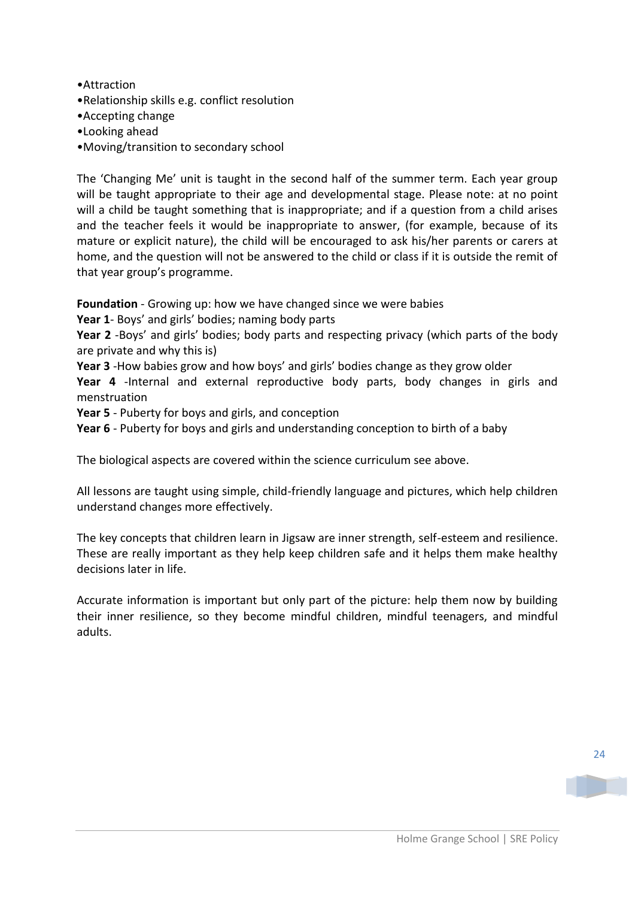•Attraction

- •Relationship skills e.g. conflict resolution
- •Accepting change
- •Looking ahead
- •Moving/transition to secondary school

The 'Changing Me' unit is taught in the second half of the summer term. Each year group will be taught appropriate to their age and developmental stage. Please note: at no point will a child be taught something that is inappropriate; and if a question from a child arises and the teacher feels it would be inappropriate to answer, (for example, because of its mature or explicit nature), the child will be encouraged to ask his/her parents or carers at home, and the question will not be answered to the child or class if it is outside the remit of that year group's programme.

**Foundation** - Growing up: how we have changed since we were babies

**Year 1**- Boys' and girls' bodies; naming body parts

**Year 2** -Boys' and girls' bodies; body parts and respecting privacy (which parts of the body are private and why this is)

**Year 3** -How babies grow and how boys' and girls' bodies change as they grow older

**Year 4** -Internal and external reproductive body parts, body changes in girls and menstruation

**Year 5** - Puberty for boys and girls, and conception

**Year 6** - Puberty for boys and girls and understanding conception to birth of a baby

The biological aspects are covered within the science curriculum see above.

All lessons are taught using simple, child-friendly language and pictures, which help children understand changes more effectively.

The key concepts that children learn in Jigsaw are inner strength, self-esteem and resilience. These are really important as they help keep children safe and it helps them make healthy decisions later in life.

Accurate information is important but only part of the picture: help them now by building their inner resilience, so they become mindful children, mindful teenagers, and mindful adults.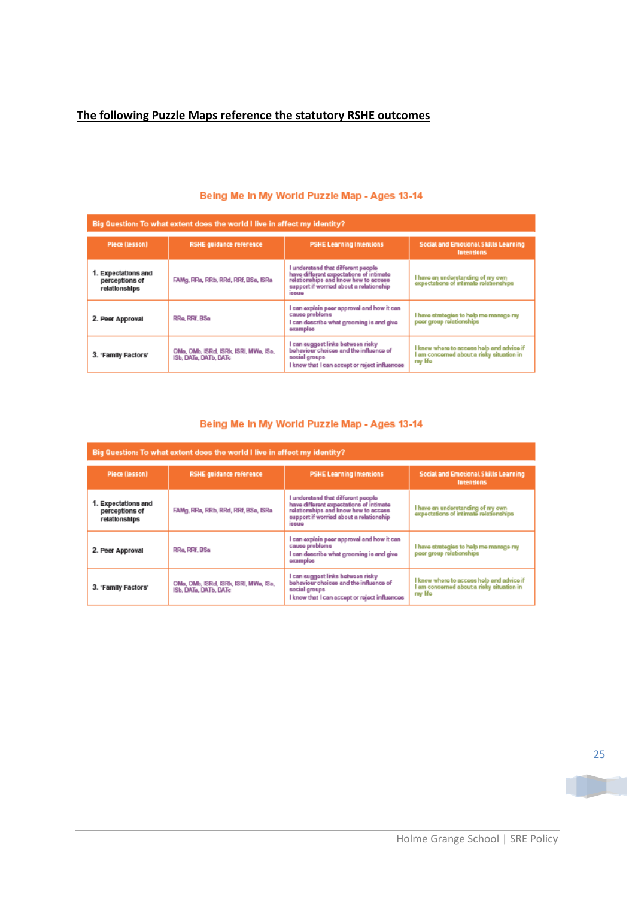#### **The following Puzzle Maps reference the statutory RSHE outcomes**

| Big Question: To what extent does the world I live in affect my identity? |                                                                |                                                                                                                                                                                  |                                                                                                   |
|---------------------------------------------------------------------------|----------------------------------------------------------------|----------------------------------------------------------------------------------------------------------------------------------------------------------------------------------|---------------------------------------------------------------------------------------------------|
| <b>Piece (lesson)</b>                                                     | <b>RSHE quidance reference</b>                                 | <b>PSHE Learning Intentions</b>                                                                                                                                                  | Social and Emotional Skills Learning<br><b>Intentions</b>                                         |
| 1. Expectations and<br>perceptions of<br>relationships                    | FAMg, RRa, RRb, RRd, RRf, BSa, ISRa                            | I understand that different people<br>have different expectations of intimate<br>relationships and know how to access<br>support if worried about a relationship<br><b>ISSUO</b> | I have an understanding of my own<br>expectations of intimate relationships                       |
| 2. Peer Approval                                                          | RRe, RRf, BSa                                                  | I can explain peer approval and how it can<br>cause problems<br>I can describe what grooming is and give<br>examples                                                             | I have strategies to help me manage my<br>peer group relationships                                |
| 3. 'Family Factors'                                                       | OMa, OMb, ISRd, ISRk, ISRI, MWa, ISa,<br>ISb, DATa, DATb, DATc | I can suggest links between risky<br>behaviour choices and the influence of<br>social groups<br>I know that I can accept or reject influences                                    | I know where to access help and advice if<br>I am concerned about a risky situation in<br>my life |

#### Being Me In My World Puzzle Map - Ages 13-14

#### Being Me In My World Puzzle Map - Ages 13-14

| Big udestion: To what extent does the world I live in affect my identity? |                                                                |                                                                                                                                                                         |                                                                                                   |
|---------------------------------------------------------------------------|----------------------------------------------------------------|-------------------------------------------------------------------------------------------------------------------------------------------------------------------------|---------------------------------------------------------------------------------------------------|
| Piece (lesson)                                                            | <b>RSHE quidance reference</b>                                 | <b>PSHE Learning Intentions</b>                                                                                                                                         | Social and Emotional Skills Learning<br><b>Intentions</b>                                         |
| 1. Expectations and<br>perceptions of<br>relationships                    | FAMg, RRa, RRb, RRd, RRf, BSa, ISRa                            | understand that different people<br>have different expectations of intimate<br>relationships and know how to access<br>support if worried about a relationship<br>166UQ | I have an understanding of my own<br>expectations of intimate relationships                       |
| 2. Peer Approval                                                          | RRe, RRF, BSa                                                  | I can explain peer approval and how it can<br>cause problems<br>can describe what grooming is and give<br>examples                                                      | I have strategies to help me manage my<br>peer group relationships                                |
| 3. 'Family Factors'                                                       | OMa, OMb, ISRd, ISRk, ISRI, MWa, ISa,<br>ISb, DATo, DATb, DATc | can suggest links between risky<br>behaviour choices and the influence of<br>social groups<br>I know that I can accept or reject influences                             | I know where to access help and advice if<br>I am concerned about a risky situation in<br>my life |

Holme Grange School | SRE Policy

25

m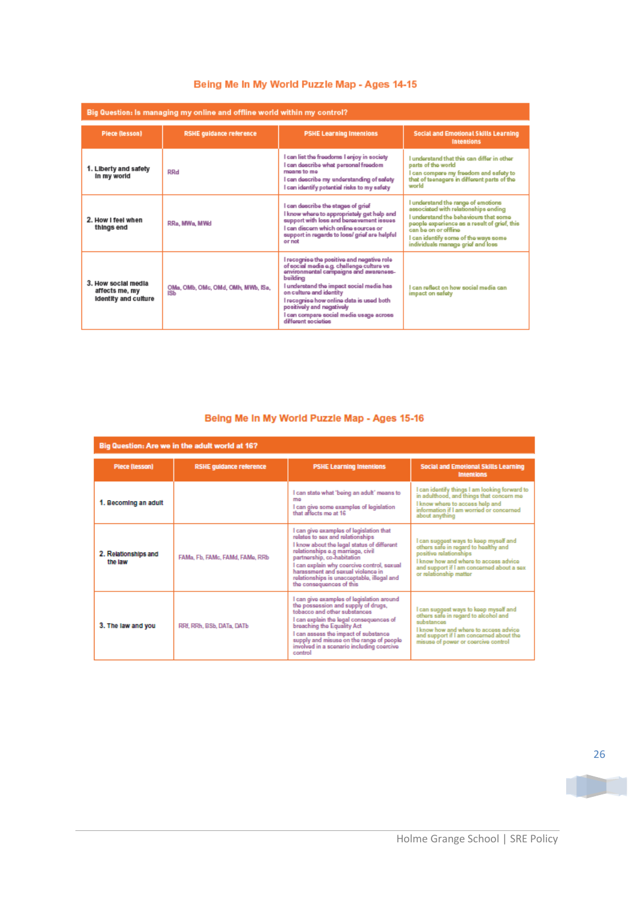#### Being Me In My World Puzzle Map - Ages 14-15

| Big Question: Is managing my online and offline world within my control? |                                                  |                                                                                                                                                                                                                                                                                                                                                               |                                                                                                                                                                                                                                                                         |
|--------------------------------------------------------------------------|--------------------------------------------------|---------------------------------------------------------------------------------------------------------------------------------------------------------------------------------------------------------------------------------------------------------------------------------------------------------------------------------------------------------------|-------------------------------------------------------------------------------------------------------------------------------------------------------------------------------------------------------------------------------------------------------------------------|
| <b>Piece (lesson)</b>                                                    | <b>RSHE quidance reference</b>                   | <b>PSHE Learning Intentions</b>                                                                                                                                                                                                                                                                                                                               | Social and Emotional Skills Learning<br><b>Intentions</b>                                                                                                                                                                                                               |
| 1. Liberty and safety<br>In my world                                     | RRd                                              | I can list the freedoms I enjoy in society<br>I can describe what personal freedom<br>means to me<br>I can describe my understanding of safety<br>I can identify potential risks to my safety                                                                                                                                                                 | Lunderstand that this can differ in other<br>parts of the world<br>I can compare my freedom and safety to<br>that of teenagers in different parts of the<br>world                                                                                                       |
| 2. How I feel when<br>things end                                         | RRa, MWa, MWd                                    | I can describe the stages of grief<br>I know where to appropriately get help and<br>support with loss and beneavement issues<br>I can discom which online sources or<br>support in regards to loss/ grief are helpful<br>or not                                                                                                                               | I understand the range of emotions<br>associated with relationships ending<br>I understand the behaviours that some<br>people experience as a result of grief, this<br>can be on or offine<br>I can identify some of the ways some<br>individuals manage grief and loss |
| 3. How social media<br>affects me, my<br><b>Identity and culture</b>     | OMa, OMb, OMc, OMd, OMh, MWb, ISa,<br><b>ISb</b> | I recognise the positive and negative role<br>of social media e.g. challenge culture vs<br>environmental campaigns and awareness-<br>building<br>I understand the impact social media has<br>on culture and identity<br>I recognise how online data is used both<br>positively and negatively<br>can compare social media usage across<br>different societies | I can reflect on how social media can<br>impact on safety                                                                                                                                                                                                               |

#### Being Me In My World Puzzle Map - Ages 15-16

| Big Question: Are we in the adult world at 16? |                                 |                                                                                                                                                                                                                                                                                                                                                           |                                                                                                                                                                                                                         |
|------------------------------------------------|---------------------------------|-----------------------------------------------------------------------------------------------------------------------------------------------------------------------------------------------------------------------------------------------------------------------------------------------------------------------------------------------------------|-------------------------------------------------------------------------------------------------------------------------------------------------------------------------------------------------------------------------|
| <b>Piece (lesson)</b>                          | <b>RSHE quidance reference</b>  | <b>PSHE Learning Intentions</b>                                                                                                                                                                                                                                                                                                                           | <b>Social and Emotional Skills Learning</b><br><b>Intentions</b>                                                                                                                                                        |
| 1. Becoming an adult                           |                                 | I can state what 'being an adult' means to<br>ma<br>I can give some examples of legislation<br>that affects me at 16                                                                                                                                                                                                                                      | I can identify things I am looking forward to<br>in adulthood, and things that concern me<br>I know where to access help and<br>information if I am worried or concerned<br>about anything                              |
| 2. Relationships and<br>the law                | FAMa, Fb, FAMc, FAMd, FAMa, RRb | I can give examples of legislation that<br>relates to sex and relationships<br>I know about the legal status of different<br>relationships e.g marriage, civil<br>partnership, co-habitation<br>I can explain why coercive control, sexual<br>harassment and sexual violence in<br>relationships is unacceptable, illegal and<br>the consequences of this | I can suggest ways to keep myself and<br>others safe in regard to healthy and<br>positivo rolationships<br>I know how and where to access advice<br>and support if I am concerned about a sex<br>or relationship matter |
| 3. The law and you                             | RRf, RRh, BSb, DATa, DATb       | I can give examples of legislation around<br>the possession and supply of drugs,<br>tobacco and other substances.<br>I can explain the legal consequences of<br>breaching the Equality Act<br>I can assess the impact of substance<br>supply and misuse on the range of people<br>involved in a scenario including coercive<br>control                    | I can suggest ways to keep myself and<br>others safe in regard to alcohol and<br>substances<br>I know how and where to access advice<br>and support if I am concerned about the<br>misuse of power or coercive control  |

26

T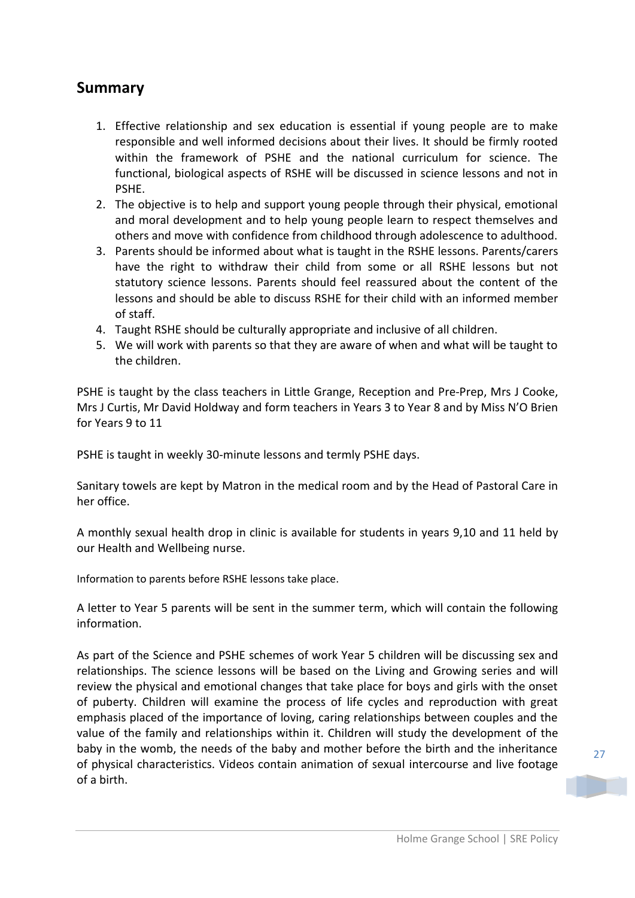## **Summary**

- 1. Effective relationship and sex education is essential if young people are to make responsible and well informed decisions about their lives. It should be firmly rooted within the framework of PSHE and the national curriculum for science. The functional, biological aspects of RSHE will be discussed in science lessons and not in PSHE.
- 2. The objective is to help and support young people through their physical, emotional and moral development and to help young people learn to respect themselves and others and move with confidence from childhood through adolescence to adulthood.
- 3. Parents should be informed about what is taught in the RSHE lessons. Parents/carers have the right to withdraw their child from some or all RSHE lessons but not statutory science lessons. Parents should feel reassured about the content of the lessons and should be able to discuss RSHE for their child with an informed member of staff.
- 4. Taught RSHE should be culturally appropriate and inclusive of all children.
- 5. We will work with parents so that they are aware of when and what will be taught to the children.

PSHE is taught by the class teachers in Little Grange, Reception and Pre-Prep, Mrs J Cooke, Mrs J Curtis, Mr David Holdway and form teachers in Years 3 to Year 8 and by Miss N'O Brien for Years 9 to 11

PSHE is taught in weekly 30-minute lessons and termly PSHE days.

Sanitary towels are kept by Matron in the medical room and by the Head of Pastoral Care in her office.

A monthly sexual health drop in clinic is available for students in years 9,10 and 11 held by our Health and Wellbeing nurse.

Information to parents before RSHE lessons take place.

A letter to Year 5 parents will be sent in the summer term, which will contain the following information.

As part of the Science and PSHE schemes of work Year 5 children will be discussing sex and relationships. The science lessons will be based on the Living and Growing series and will review the physical and emotional changes that take place for boys and girls with the onset of puberty. Children will examine the process of life cycles and reproduction with great emphasis placed of the importance of loving, caring relationships between couples and the value of the family and relationships within it. Children will study the development of the baby in the womb, the needs of the baby and mother before the birth and the inheritance of physical characteristics. Videos contain animation of sexual intercourse and live footage of a birth.